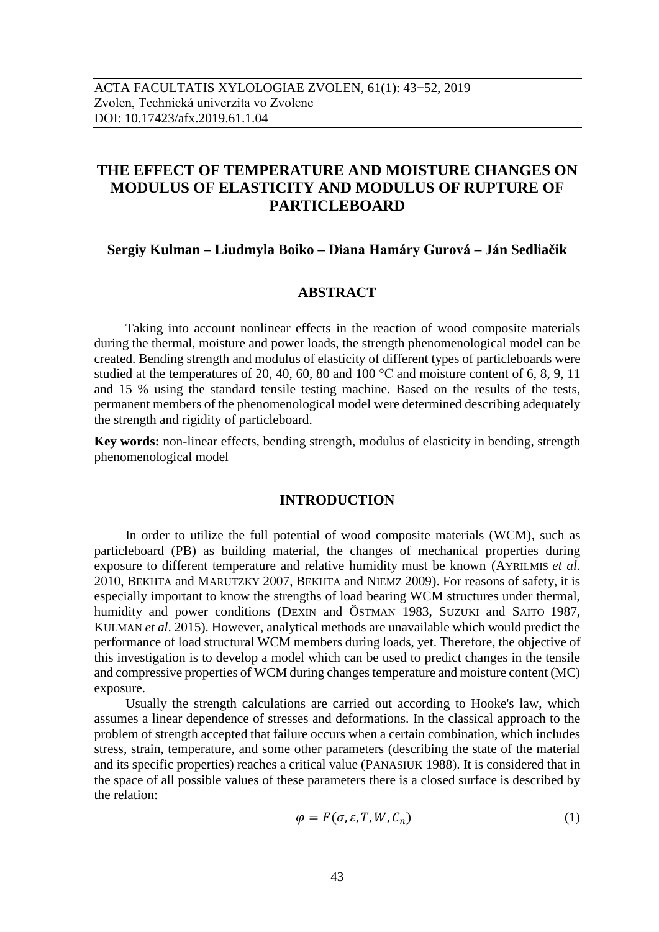# **THE EFFECT OF TEMPERATURE AND MOISTURE CHANGES ON MODULUS OF ELASTICITY AND MODULUS OF RUPTURE OF PARTICLEBOARD**

**Sergiy Kulman – Liudmyla Boiko – Diana Hamáry Gurová – Ján Sedliačik**

# **ABSTRACT**

Taking into account nonlinear effects in the reaction of wood composite materials during the thermal, moisture and power loads, the strength phenomenological model can be created. Bending strength and modulus of elasticity of different types of particleboards were studied at the temperatures of 20, 40, 60, 80 and 100  $^{\circ}$ C and moisture content of 6, 8, 9, 11 and 15 % using the standard tensile testing machine. Based on the results of the tests, permanent members of the phenomenological model were determined describing adequately the strength and rigidity of particleboard.

**Key words:** non-linear effects, bending strength, modulus of elasticity in bending, strength phenomenological model

### **INTRODUCTION**

In order to utilize the full potential of wood composite materials (WCM), such as particleboard (PB) as building material, the changes of mechanical properties during exposure to different temperature and relative humidity must be known (AYRILMIS *et al*. 2010, BEKHTA and MARUTZKY 2007, BEKHTA and NIEMZ 2009). For reasons of safety, it is especially important to know the strengths of load bearing WCM structures under thermal, humidity and power conditions (DEXIN and ÖSTMAN 1983, SUZUKI and SAITO 1987, KULMAN *et al*. 2015). However, analytical methods are unavailable which would predict the performance of load structural WCM members during loads, yet. Therefore, the objective of this investigation is to develop a model which can be used to predict changes in the tensile and compressive properties of WCM during changes temperature and moisture content (MC) exposure.

Usually the strength calculations are carried out according to Hooke's law, which assumes a linear dependence of stresses and deformations. In the classical approach to the problem of strength accepted that failure occurs when a certain combination, which includes stress, strain, temperature, and some other parameters (describing the state of the material and its specific properties) reaches a critical value (PANASIUK 1988). It is considered that in the space of all possible values of these parameters there is a closed surface is described by the relation:

$$
\varphi = F(\sigma, \varepsilon, T, W, C_n) \tag{1}
$$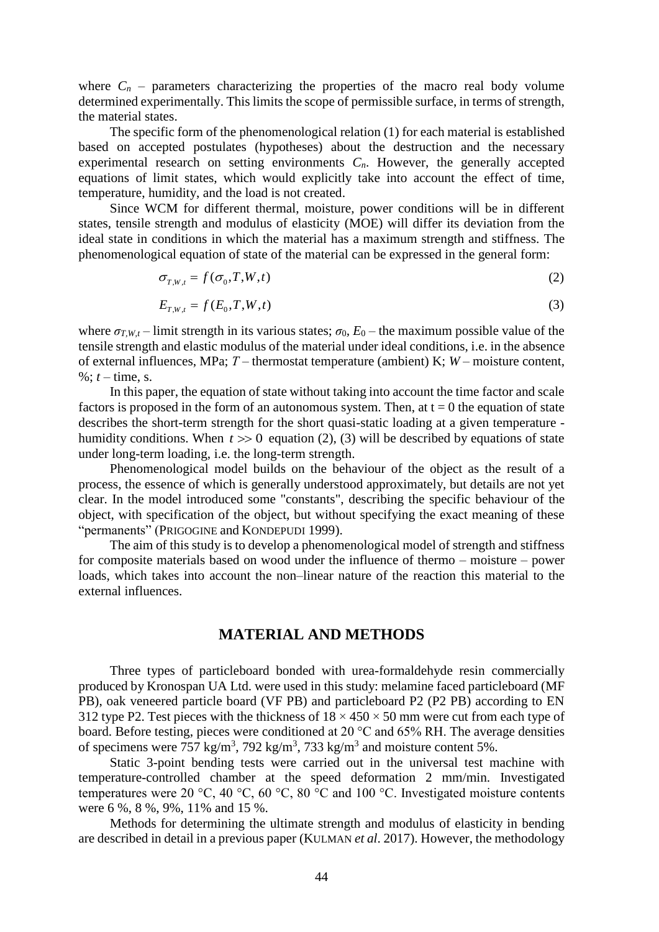where  $C_n$  – parameters characterizing the properties of the macro real body volume determined experimentally. This limits the scope of permissible surface, in terms of strength, the material states.

The specific form of the phenomenological relation (1) for each material is established based on accepted postulates (hypotheses) about the destruction and the necessary experimental research on setting environments  $C<sub>n</sub>$ . However, the generally accepted equations of limit states, which would explicitly take into account the effect of time, temperature, humidity, and the load is not created.

Since WCM for different thermal, moisture, power conditions will be in different states, tensile strength and modulus of elasticity (MOE) will differ its deviation from the ideal state in conditions in which the material has a maximum strength and stiffness. The phenomenological equation of state of the material can be expressed in the general form:

$$
\sigma_{T,W,t} = f(\sigma_0, T, W, t) \tag{2}
$$

$$
E_{T,W,t} = f(E_0, T, W, t)
$$
\n(3)

where  $\sigma_{T,W,t}$  – limit strength in its various states;  $\sigma_0$ ,  $E_0$  – the maximum possible value of the tensile strength and elastic modulus of the material under ideal conditions, i.e. in the absence of external influences, MPa; *Т* – thermostat temperature (ambient) K; *W* – moisture content, %:  $t - time$ , s.

In this paper, the equation of state without taking into account the time factor and scale factors is proposed in the form of an autonomous system. Then, at  $t = 0$  the equation of state describes the short-term strength for the short quasi-static loading at a given temperature humidity conditions. When  $t \gg 0$  equation (2), (3) will be described by equations of state under long-term loading, i.e. the long-term strength.

Phenomenological model builds on the behaviour of the object as the result of a process, the essence of which is generally understood approximately, but details are not yet clear. In the model introduced some "constants", describing the specific behaviour of the object, with specification of the object, but without specifying the exact meaning of these "permanents" (PRIGOGINE and KONDEPUDI 1999).

The aim of this study is to develop a phenomenological model of strength and stiffness for composite materials based on wood under the influence of thermo – moisture – power loads, which takes into account the non–linear nature of the reaction this material to the external influences.

#### **MATERIAL AND METHODS**

Three types of particleboard bonded with urea-formaldehyde resin commercially produced by Kronospan UA Ltd. were used in this study: melamine faced particleboard (MF PB), oak veneered particle board (VF PB) and particleboard P2 (P2 PB) according to EN 312 type P2. Test pieces with the thickness of  $18 \times 450 \times 50$  mm were cut from each type of board. Before testing, pieces were conditioned at 20 °C and 65% RH. The average densities of specimens were 757 kg/m<sup>3</sup>, 792 kg/m<sup>3</sup>, 733 kg/m<sup>3</sup> and moisture content 5%.

Static 3-point bending tests were carried out in the universal test machine with temperature-controlled chamber at the speed deformation 2 mm/min. Investigated temperatures were 20 °C, 40 °C, 60 °C, 80 °C and 100 °C. Investigated moisture contents were 6 %, 8 %, 9%, 11% and 15 %.

Methods for determining the ultimate strength and modulus of elasticity in bending are described in detail in a previous paper (KULMAN *et al*. 2017). However, the methodology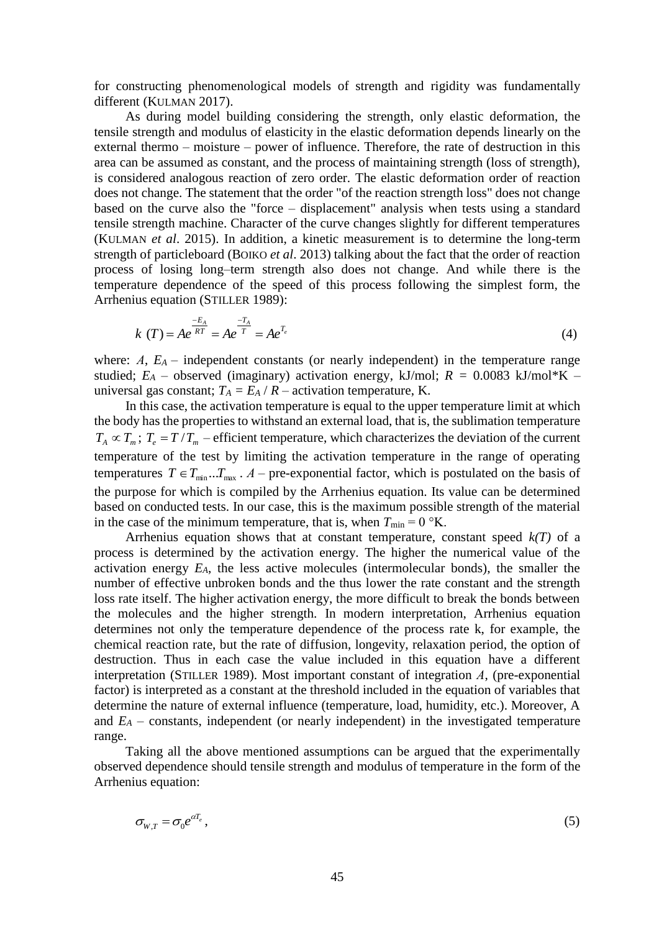for constructing phenomenological models of strength and rigidity was fundamentally different (KULMAN 2017).

As during model building considering the strength, only elastic deformation, the tensile strength and modulus of elasticity in the elastic deformation depends linearly on the external thermo – moisture – power of influence. Therefore, the rate of destruction in this area can be assumed as constant, and the process of maintaining strength (loss of strength), is considered analogous reaction of zero order. The elastic deformation order of reaction does not change. The statement that the order "of the reaction strength loss" does not change based on the curve also the "force – displacement" analysis when tests using a standard tensile strength machine. Character of the curve changes slightly for different temperatures (KULMAN *et al*. 2015). In addition, a kinetic measurement is to determine the long-term strength of particleboard (BOIKO *et al*. 2013) talking about the fact that the order of reaction process of losing long–term strength also does not change. And while there is the temperature dependence of the speed of this process following the simplest form, the Arrhenius equation (STILLER 1989):

$$
k(T) = Ae^{\frac{-E_A}{RT}} = Ae^{\frac{-T_A}{T}} = Ae^{T_e}
$$
 (4)

where:  $A$ ,  $E_A$  – independent constants (or nearly independent) in the temperature range studied;  $E_A$  – observed (imaginary) activation energy, kJ/mol;  $R = 0.0083$  kJ/mol\*K – universal gas constant;  $T_A = E_A / R$  – activation temperature, K.

In this case, the activation temperature is equal to the upper temperature limit at which the body has the properties to withstand an external load, that is, the sublimation temperature  $T_A \propto T_m$ ;  $T_e = T/T_m$  – efficient temperature, which characterizes the deviation of the current temperature of the test by limiting the activation temperature in the range of operating temperatures  $T \in T_{min}$ ... $T_{max}$ .  $A$  – pre-exponential factor, which is postulated on the basis of the purpose for which is compiled by the Arrhenius equation. Its value can be determined based on conducted tests. In our case, this is the maximum possible strength of the material in the case of the minimum temperature, that is, when  $T_{\text{min}} = 0$  °K.

Arrhenius equation shows that at constant temperature, constant speed *k(T)* of a process is determined by the activation energy. The higher the numerical value of the activation energy *EA*, the less active molecules (intermolecular bonds), the smaller the number of effective unbroken bonds and the thus lower the rate constant and the strength loss rate itself. The higher activation energy, the more difficult to break the bonds between the molecules and the higher strength. In modern interpretation, Arrhenius equation determines not only the temperature dependence of the process rate k, for example, the chemical reaction rate, but the rate of diffusion, longevity, relaxation period, the option of destruction. Thus in each case the value included in this equation have a different interpretation (STILLER 1989). Most important constant of integration *А*, (pre-exponential factor) is interpreted as a constant at the threshold included in the equation of variables that determine the nature of external influence (temperature, load, humidity, etc.). Moreover, A and  $E_A$  – constants, independent (or nearly independent) in the investigated temperature range.

Taking all the above mentioned assumptions can be argued that the experimentally observed dependence should tensile strength and modulus of temperature in the form of the Arrhenius equation:

$$
\sigma_{W,T} = \sigma_0 e^{\alpha T_e},\tag{5}
$$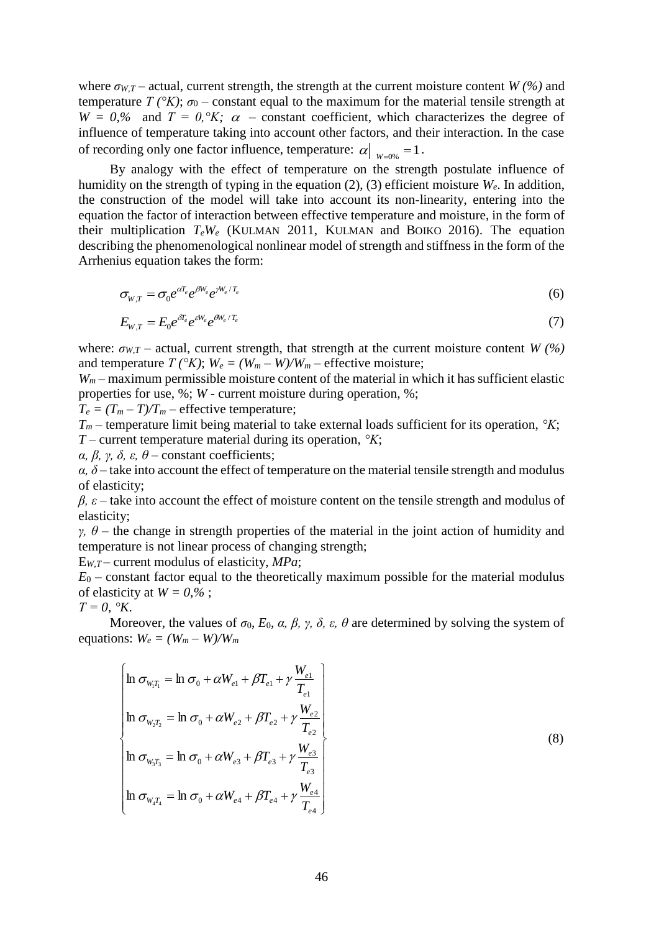where  $\sigma_{W,T}$  – actual, current strength, the strength at the current moisture content *W* (%) and temperature  $T(^{\circ}K)$ ;  $\sigma_0$  – constant equal to the maximum for the material tensile strength at  $W = 0$ % and  $T = 0$ ,  $K$ ;  $\alpha$  – constant coefficient, which characterizes the degree of influence of temperature taking into account other factors, and their interaction. In the case of recording only one factor influence, temperature:  $\alpha|_{W=0\%}=1$ .

By analogy with the effect of temperature on the strength postulate influence of humidity on the strength of typing in the equation (2), (3) efficient moisture *We*. In addition, the construction of the model will take into account its non-linearity, entering into the equation the factor of interaction between effective temperature and moisture, in the form of their multiplication  $T_eW_e$  (KULMAN 2011, KULMAN and BOIKO 2016). The equation describing the phenomenological nonlinear model of strength and stiffness in the form of the Arrhenius equation takes the form:

$$
\sigma_{W,T} = \sigma_0 e^{\alpha T_e} e^{\beta W_e} e^{\gamma W_e/T_e}
$$
\n<sup>(6)</sup>

$$
E_{W,T} = E_0 e^{\delta T_e} e^{\delta W_e} e^{\theta W_e/T_e}
$$
\n<sup>(7)</sup>

where:  $\sigma_{W,T}$  – actual, current strength, that strength at the current moisture content *W* (%) and temperature  $T(^{\circ}K)$ ;  $W_e = (W_m - W)/W_m$  – effective moisture;

*W<sup>m</sup>* – maximum permissible moisture content of the material in which it has sufficient elastic properties for use, %; *W* - current moisture during operation, %;

 $T_e = (T_m - T)/T_m$  – effective temperature;

*T<sup>m</sup>* – temperature limit being material to take external loads sufficient for its operation, *°K*; *T* – current temperature material during its operation, *°K*;

*α, β, γ, δ, ε, θ* – constant coefficients;

 $\alpha$ ,  $\delta$  – take into account the effect of temperature on the material tensile strength and modulus of elasticity;

*β, ε* – take into account the effect of moisture content on the tensile strength and modulus of elasticity;

*γ*,  $θ$  – the change in strength properties of the material in the joint action of humidity and temperature is not linear process of changing strength;

E*W*,*<sup>T</sup>* – current modulus of elasticity, *MPa*;

 $E_0$  – constant factor equal to the theoretically maximum possible for the material modulus of elasticity at  $W = 0, \%$ ;

 $T = 0$ , °К.

Moreover, the values of  $\sigma_0$ ,  $E_0$ ,  $\alpha$ ,  $\beta$ ,  $\gamma$ ,  $\delta$ ,  $\varepsilon$ ,  $\theta$  are determined by solving the system of equations:  $W_e = (W_m - W)/W_m$ 

$$
\begin{cases}\n\ln \sigma_{W_{1}T_{1}} = \ln \sigma_{0} + \alpha W_{e1} + \beta T_{e1} + \gamma \frac{W_{e1}}{T_{e1}} \\
\ln \sigma_{W_{2}T_{2}} = \ln \sigma_{0} + \alpha W_{e2} + \beta T_{e2} + \gamma \frac{W_{e2}}{T_{e2}} \\
\ln \sigma_{W_{3}T_{3}} = \ln \sigma_{0} + \alpha W_{e3} + \beta T_{e3} + \gamma \frac{W_{e3}}{T_{e3}} \\
\ln \sigma_{W_{4}T_{4}} = \ln \sigma_{0} + \alpha W_{e4} + \beta T_{e4} + \gamma \frac{W_{e4}}{T_{e4}}\n\end{cases}
$$

(8)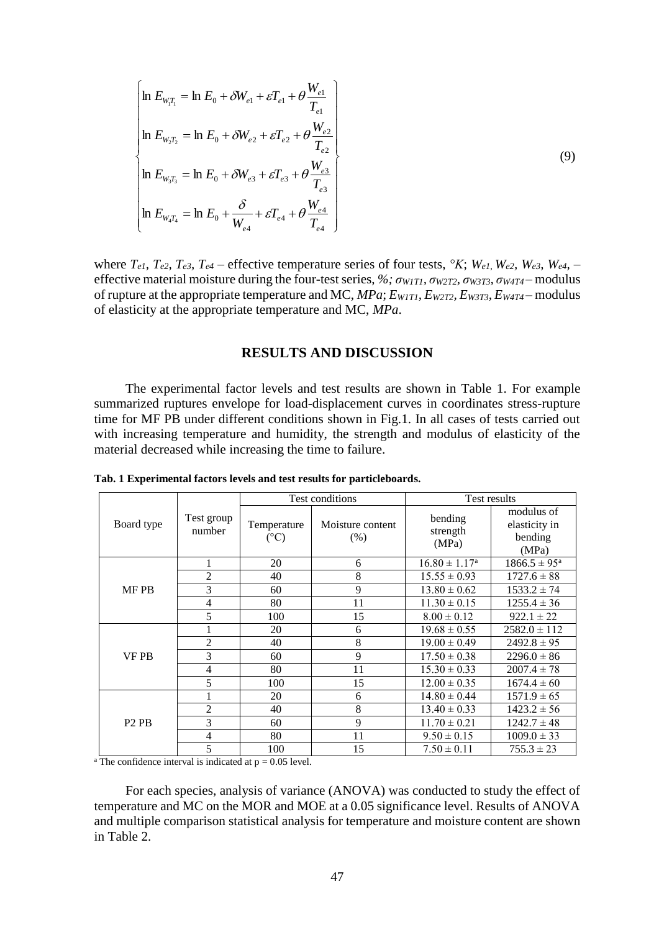$$
\begin{cases}\n\ln E_{W_1T_1} = \ln E_0 + \delta W_{e1} + \varepsilon T_{e1} + \theta \frac{W_{e1}}{T_{e1}} \\
\ln E_{W_2T_2} = \ln E_0 + \delta W_{e2} + \varepsilon T_{e2} + \theta \frac{W_{e2}}{T_{e2}} \\
\ln E_{W_3T_3} = \ln E_0 + \delta W_{e3} + \varepsilon T_{e3} + \theta \frac{W_{e3}}{T_{e3}} \\
\ln E_{W_4T_4} = \ln E_0 + \frac{\delta}{W_{e4}} + \varepsilon T_{e4} + \theta \frac{W_{e4}}{T_{e4}}\n\end{cases}
$$
\n(9)

where  $T_{e1}$ ,  $T_{e2}$ ,  $T_{e3}$ ,  $T_{e4}$  – effective temperature series of four tests,  ${}^{\circ}K$ ;  $W_{e1}$ ,  $W_{e2}$ ,  $W_{e3}$ ,  $W_{e4}$ , – effective material moisture during the four-test series, *%; σW1T1, σW2T2, σW3T3, σW4T4* – modulus of rupture at the appropriate temperature and MC, *MPa*; *EW1T1, EW2T2, EW3T3, EW4T4* – modulus of elasticity at the appropriate temperature and MC, *MPa*.

### **RESULTS AND DISCUSSION**

The experimental factor levels and test results are shown in Table 1. For example summarized ruptures envelope for load-displacement curves in coordinates stress-rupture time for MF PB under different conditions shown in Fig.1. In all cases of tests carried out with increasing temperature and humidity, the strength and modulus of elasticity of the material decreased while increasing the time to failure.

|                               | Test group<br>number |                             | Test conditions          | Test results                 |                                                 |  |
|-------------------------------|----------------------|-----------------------------|--------------------------|------------------------------|-------------------------------------------------|--|
| Board type                    |                      | Temperature<br>$(^\circ C)$ | Moisture content<br>(% ) | bending<br>strength<br>(MPa) | modulus of<br>elasticity in<br>bending<br>(MPa) |  |
| <b>MF PB</b>                  | I                    | 20                          | 6                        | $16.80 \pm 1.17^{\rm a}$     | $1866.5 \pm 95^{\rm a}$                         |  |
|                               | $\overline{c}$       | 40                          | 8                        | $15.55 \pm 0.93$             | $1727.6 \pm 88$                                 |  |
|                               | 3                    | 60                          | 9                        | $13.80 \pm 0.62$             | $1533.2 \pm 74$                                 |  |
|                               | 4                    | 80                          | 11                       | $11.30 \pm 0.15$             | $1255.4 \pm 36$                                 |  |
|                               | 5                    | 100                         | 15                       | $8.00 \pm 0.12$              | $922.1 \pm 22$                                  |  |
| VF PB                         |                      | 20                          | 6                        | $19.68 \pm 0.55$             | $2582.0 \pm 112$                                |  |
|                               | $\overline{c}$       | 40                          | 8                        | $19.00 \pm 0.49$             | $2492.8 \pm 95$                                 |  |
|                               | 3                    | 60                          | 9                        | $17.50 \pm 0.38$             | $2296.0 \pm 86$                                 |  |
|                               | 4                    | 80                          | 11                       | $15.30 \pm 0.33$             | $2007.4 \pm 78$                                 |  |
|                               | 5                    | 100                         | 15                       | $12.00 \pm 0.35$             | $1674.4 \pm 60$                                 |  |
| P <sub>2</sub> P <sub>B</sub> |                      | 20                          | 6                        | $14.80 \pm 0.44$             | $1571.9 \pm 65$                                 |  |
|                               | $\overline{c}$       | 40                          | 8                        | $13.40 \pm 0.33$             | $1423.2 \pm 56$                                 |  |
|                               | 3                    | 60                          | 9                        | $11.70 \pm 0.21$             | $1242.7 \pm 48$                                 |  |
|                               | 4                    | 80                          | 11                       | $9.50 \pm 0.15$              | $1009.0 \pm 33$                                 |  |
|                               | 5                    | 100                         | 15                       | $7.50 \pm 0.11$              | $755.3 \pm 23$                                  |  |

**Tab. 1 Experimental factors levels and test results for particleboards.**

<sup>a</sup> The confidence interval is indicated at  $p = 0.05$  level.

For each species, analysis of variance (ANOVA) was conducted to study the effect of temperature and MC on the MOR and MOE at a 0.05 significance level. Results of ANOVA and multiple comparison statistical analysis for temperature and moisture content are shown in Table 2.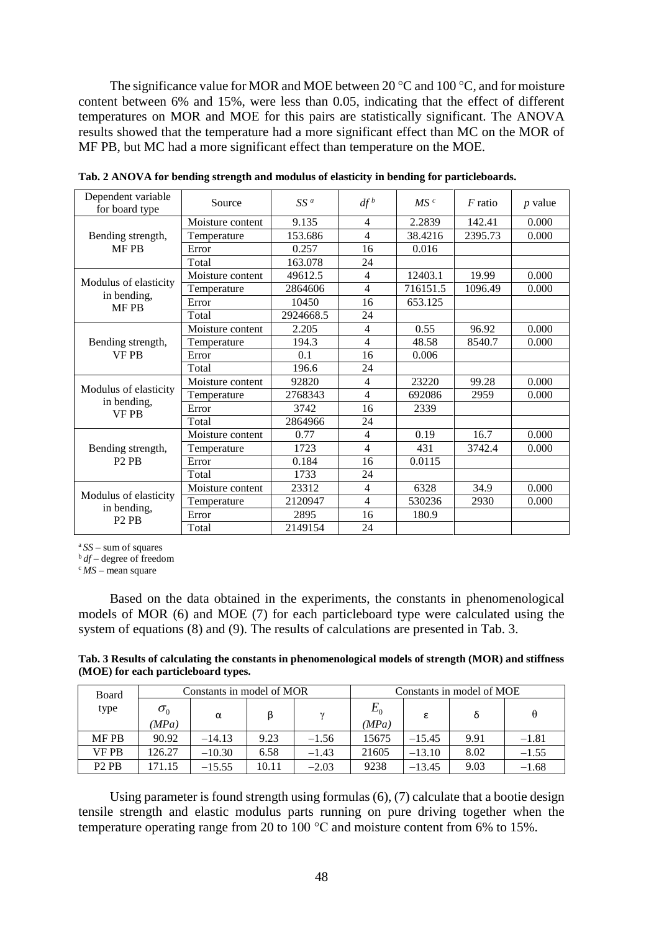The significance value for MOR and MOE between 20 °C and 100 °C*,* and for moisture content between 6% and 15%, were less than 0.05, indicating that the effect of different temperatures on MOR and MOE for this pairs are statistically significant. The ANOVA results showed that the temperature had a more significant effect than MC on the MOR of MF PB, but MC had a more significant effect than temperature on the MOE.

| Dependent variable<br>for board type                                  | Source           | $SS^a$    | $df^b$         | MS <sup>c</sup> | $F$ ratio | <i>p</i> value |
|-----------------------------------------------------------------------|------------------|-----------|----------------|-----------------|-----------|----------------|
| Bending strength,<br>MF PB                                            | Moisture content | 9.135     | $\overline{4}$ | 2.2839          | 142.41    | 0.000          |
|                                                                       | Temperature      | 153.686   | $\overline{4}$ | 38.4216         | 2395.73   | 0.000          |
|                                                                       | Error            | 0.257     | 16             | 0.016           |           |                |
|                                                                       | Total            | 163.078   | 24             |                 |           |                |
| Modulus of elasticity<br>in bending,<br><b>MF PB</b>                  | Moisture content | 49612.5   | $\overline{4}$ | 12403.1         | 19.99     | 0.000          |
|                                                                       | Temperature      | 2864606   | $\overline{4}$ | 716151.5        | 1096.49   | 0.000          |
|                                                                       | Error            | 10450     | 16             | 653.125         |           |                |
|                                                                       | Total            | 2924668.5 | 24             |                 |           |                |
| Bending strength,<br><b>VF PB</b>                                     | Moisture content | 2.205     | $\overline{4}$ | 0.55            | 96.92     | 0.000          |
|                                                                       | Temperature      | 194.3     | $\overline{4}$ | 48.58           | 8540.7    | 0.000          |
|                                                                       | Error            | 0.1       | 16             | 0.006           |           |                |
|                                                                       | Total            | 196.6     | 24             |                 |           |                |
|                                                                       | Moisture content | 92820     | $\overline{4}$ | 23220           | 99.28     | 0.000          |
| Modulus of elasticity                                                 | Temperature      | 2768343   | $\overline{4}$ | 692086          | 2959      | 0.000          |
| in bending,<br><b>VFPB</b>                                            | Error            | 3742      | 16             | 2339            |           |                |
|                                                                       | Total            | 2864966   | 24             |                 |           |                |
| Bending strength,<br>P <sub>2</sub> P <sub>B</sub>                    | Moisture content | 0.77      | $\overline{4}$ | 0.19            | 16.7      | 0.000          |
|                                                                       | Temperature      | 1723      | $\overline{4}$ | 431             | 3742.4    | 0.000          |
|                                                                       | Error            | 0.184     | 16             | 0.0115          |           |                |
|                                                                       | Total            | 1733      | 24             |                 |           |                |
| Modulus of elasticity<br>in bending,<br>P <sub>2</sub> P <sub>B</sub> | Moisture content | 23312     | $\overline{4}$ | 6328            | 34.9      | 0.000          |
|                                                                       | Temperature      | 2120947   | $\overline{4}$ | 530236          | 2930      | 0.000          |
|                                                                       | Error            | 2895      | 16             | 180.9           |           |                |
|                                                                       | Total            | 2149154   | 24             |                 |           |                |

**Tab. 2 ANOVA for bending strength and modulus of elasticity in bending for particleboards.**

<sup>a</sup>*SS* – sum of squares

<sup>b</sup>*df* – degree of freedom

 $\epsilon$ *MS* – mean square

Based on the data obtained in the experiments, the constants in phenomenological models of MOR (6) and MOE (7) for each particleboard type were calculated using the system of equations (8) and (9). The results of calculations are presented in Tab. 3.

**Tab. 3 Results of calculating the constants in phenomenological models of strength (MOR) and stiffness (MOE) for each particleboard types.**

| Board                         | Constants in model of MOR |          |       |          | Constants in model of MOE |          |      |         |
|-------------------------------|---------------------------|----------|-------|----------|---------------------------|----------|------|---------|
| type                          | $\sigma_{0}$<br>(MPa)     | α        |       | $\gamma$ | $E_{0}$<br>(MPa)          | ε        |      | θ       |
| <b>MF PB</b>                  | 90.92                     | $-14.13$ | 9.23  | $-1.56$  | 15675                     | $-15.45$ | 9.91 | $-1.81$ |
| <b>VF PB</b>                  | 126.27                    | $-10.30$ | 6.58  | $-1.43$  | 21605                     | $-13.10$ | 8.02 | $-1.55$ |
| P <sub>2</sub> P <sub>B</sub> | 171.15                    | $-15.55$ | 10.11 | $-2.03$  | 9238                      | $-13.45$ | 9.03 | $-1.68$ |

Using parameter is found strength using formulas (6), (7) calculate that a bootie design tensile strength and elastic modulus parts running on pure driving together when the temperature operating range from 20 to 100 °C and moisture content from 6% to 15%.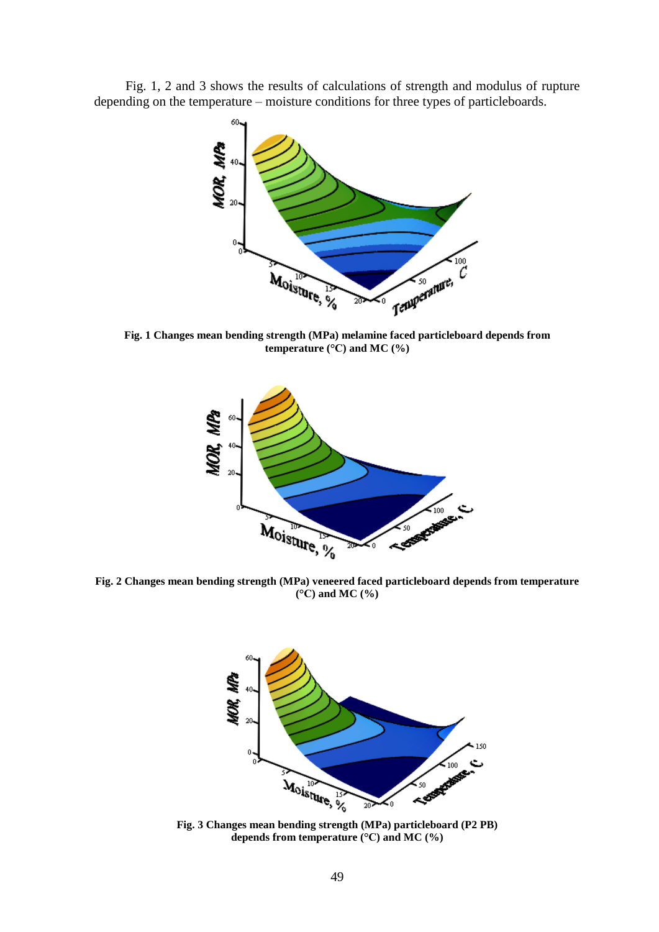Fig. 1, 2 and 3 shows the results of calculations of strength and modulus of rupture depending on the temperature – moisture conditions for three types of particleboards.



**Fig. 1 Changes mean bending strength (MPa) melamine faced particleboard depends from temperature (°C) and MC (%)**



**Fig. 2 Changes mean bending strength (MPa) veneered faced particleboard depends from temperature (°C) and MC (%)**



**Fig. 3 Changes mean bending strength (MPa) particleboard (P2 PB) depends from temperature (°C) and MC (%)**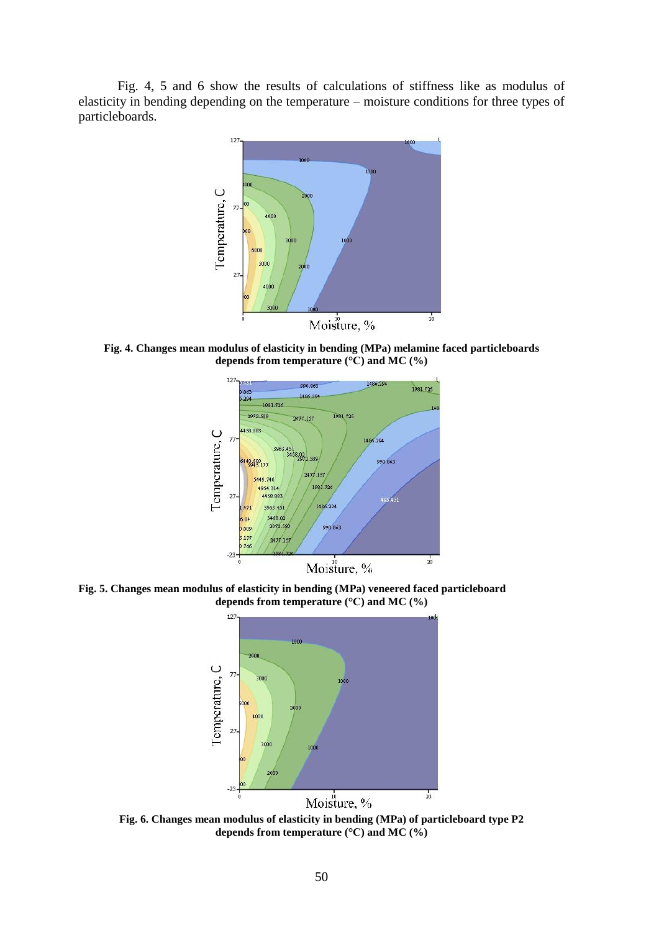Fig. 4, 5 and 6 show the results of calculations of stiffness like as modulus of elasticity in bending depending on the temperature – moisture conditions for three types of particleboards.



**Fig. 4. Changes mean modulus of elasticity in bending (MPa) melamine faced particleboards depends from temperature (°C) and MC (%)**



**Fig. 5. Changes mean modulus of elasticity in bending (MPa) veneered faced particleboard depends from temperature (°C) and MC (%)**



**Fig. 6. Changes mean modulus of elasticity in bending (MPa) of particleboard type P2 depends from temperature (°C) and MC (%)**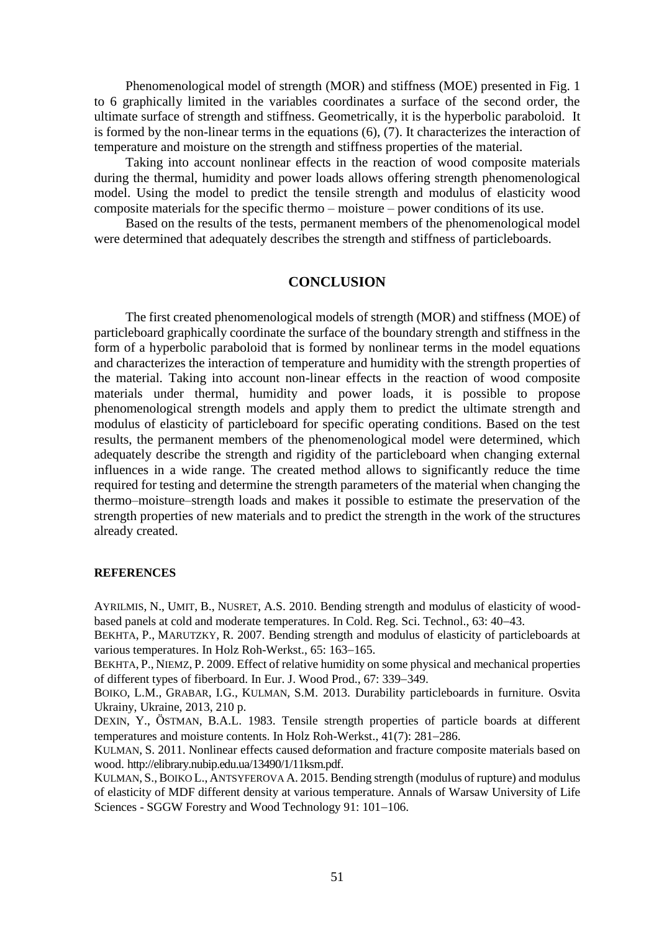Phenomenological model of strength (MOR) and stiffness (MOE) presented in Fig. 1 to 6 graphically limited in the variables coordinates a surface of the second order, the ultimate surface of strength and stiffness. Geometrically, it is the hyperbolic paraboloid. It is formed by the non-linear terms in the equations (6), (7). It characterizes the interaction of temperature and moisture on the strength and stiffness properties of the material.

Taking into account nonlinear effects in the reaction of wood composite materials during the thermal, humidity and power loads allows offering strength phenomenological model. Using the model to predict the tensile strength and modulus of elasticity wood composite materials for the specific thermo – moisture – power conditions of its use.

Based on the results of the tests, permanent members of the phenomenological model were determined that adequately describes the strength and stiffness of particleboards.

# **CONCLUSION**

The first created phenomenological models of strength (MOR) and stiffness (MOE) of particleboard graphically coordinate the surface of the boundary strength and stiffness in the form of a hyperbolic paraboloid that is formed by nonlinear terms in the model equations and characterizes the interaction of temperature and humidity with the strength properties of the material. Taking into account non-linear effects in the reaction of wood composite materials under thermal, humidity and power loads, it is possible to propose phenomenological strength models and apply them to predict the ultimate strength and modulus of elasticity of particleboard for specific operating conditions. Based on the test results, the permanent members of the phenomenological model were determined, which adequately describe the strength and rigidity of the particleboard when changing external influences in a wide range. The created method allows to significantly reduce the time required for testing and determine the strength parameters of the material when changing the thermo–moisture–strength loads and makes it possible to estimate the preservation of the strength properties of new materials and to predict the strength in the work of the structures already created.

#### **REFERENCES**

AYRILMIS, N., UMIT, B., NUSRET, A.S. 2010. Bending strength and modulus of elasticity of woodbased panels at cold and moderate temperatures. In Cold. Reg. Sci. Technol., 63: 4043.

BEKHTA, P., MARUTZKY, R. 2007. Bending strength and modulus of elasticity of particleboards at various temperatures. In Holz Roh-Werkst., 65: 163-165.

BEKHTA, P., NIEMZ, P. 2009. Effect of relative humidity on some physical and mechanical properties of different types of fiberboard. In Eur. J. Wood Prod., 67: 339–349.

BOIKO, L.M., GRABAR, I.G., KULMAN, S.M. 2013. Durability particleboards in furniture. Osvita Ukrainy, Ukraine, 2013, 210 p.

DEXIN, Y., ÖSTMAN, B.A.L. 1983. Tensile strength properties of particle boards at different temperatures and moisture contents. In Holz Roh-Werkst.,  $41(7)$ : 281–286.

KULMAN, S. 2011. Nonlinear effects caused deformation and fracture composite materials based on wood. http://elibrary.nubip.edu.ua/13490/1/11ksm.pdf.

KULMAN, S.,BOIKO L., ANTSYFEROVA A. 2015. Bending strength (modulus of rupture) and modulus of elasticity of MDF different density at various temperature. Annals of Warsaw University of Life Sciences - SGGW Forestry and Wood Technology 91: 101-106.